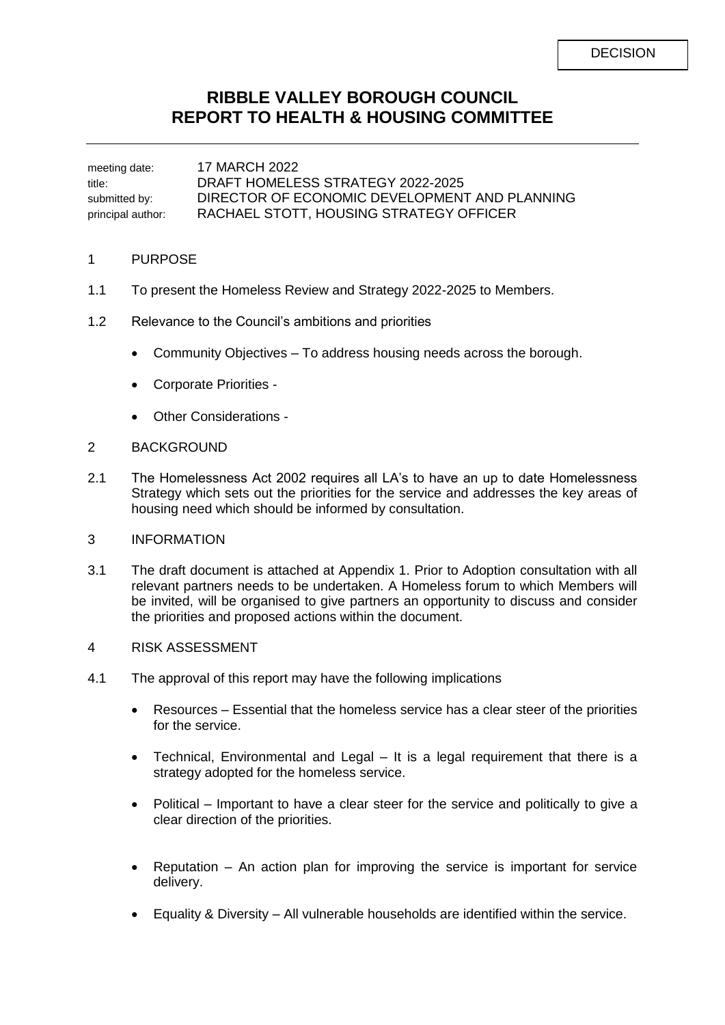# **RIBBLE VALLEY BOROUGH COUNCIL REPORT TO HEALTH & HOUSING COMMITTEE**

meeting date: 17 MARCH 2022 title: DRAFT HOMELESS STRATEGY 2022-2025 submitted by: DIRECTOR OF ECONOMIC DEVELOPMENT AND PLANNING principal author: RACHAEL STOTT, HOUSING STRATEGY OFFICER

#### 1 PURPOSE

- 1.1 To present the Homeless Review and Strategy 2022-2025 to Members.
- 1.2 Relevance to the Council's ambitions and priorities
	- Community Objectives To address housing needs across the borough.
	- Corporate Priorities -
	- Other Considerations -

### 2 BACKGROUND

2.1 The Homelessness Act 2002 requires all LA's to have an up to date Homelessness Strategy which sets out the priorities for the service and addresses the key areas of housing need which should be informed by consultation.

## 3 INFORMATION

- 3.1 The draft document is attached at Appendix 1. Prior to Adoption consultation with all relevant partners needs to be undertaken. A Homeless forum to which Members will be invited, will be organised to give partners an opportunity to discuss and consider the priorities and proposed actions within the document.
- 4 RISK ASSESSMENT
- 4.1 The approval of this report may have the following implications
	- Resources Essential that the homeless service has a clear steer of the priorities for the service.
	- Technical, Environmental and Legal It is a legal requirement that there is a strategy adopted for the homeless service.
	- Political Important to have a clear steer for the service and politically to give a clear direction of the priorities.
	- Reputation An action plan for improving the service is important for service delivery.
	- Equality & Diversity All vulnerable households are identified within the service.